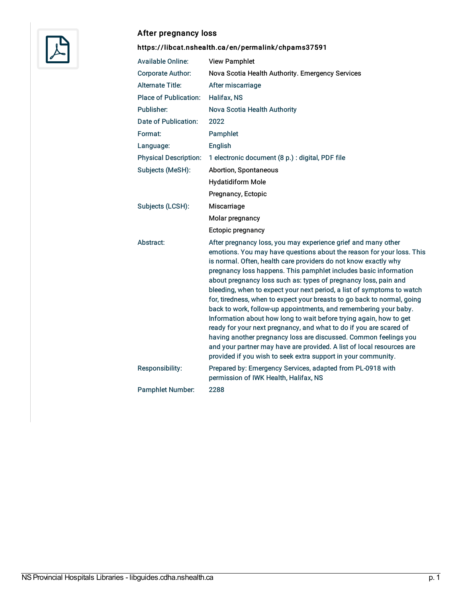

# After pregnancy loss

# <https://libcat.nshealth.ca/en/permalink/chpams37591>

| <b>Available Online:</b>     | <b>View Pamphlet</b>                                                                                                                                                                                                                                                                                                                                                                                                                                                                                                                                                                                                                                                                                                                                                                                                                                                                                                                |
|------------------------------|-------------------------------------------------------------------------------------------------------------------------------------------------------------------------------------------------------------------------------------------------------------------------------------------------------------------------------------------------------------------------------------------------------------------------------------------------------------------------------------------------------------------------------------------------------------------------------------------------------------------------------------------------------------------------------------------------------------------------------------------------------------------------------------------------------------------------------------------------------------------------------------------------------------------------------------|
| <b>Corporate Author:</b>     | Nova Scotia Health Authority. Emergency Services                                                                                                                                                                                                                                                                                                                                                                                                                                                                                                                                                                                                                                                                                                                                                                                                                                                                                    |
| <b>Alternate Title:</b>      | After miscarriage                                                                                                                                                                                                                                                                                                                                                                                                                                                                                                                                                                                                                                                                                                                                                                                                                                                                                                                   |
| <b>Place of Publication:</b> | Halifax, NS                                                                                                                                                                                                                                                                                                                                                                                                                                                                                                                                                                                                                                                                                                                                                                                                                                                                                                                         |
| Publisher:                   | Nova Scotia Health Authority                                                                                                                                                                                                                                                                                                                                                                                                                                                                                                                                                                                                                                                                                                                                                                                                                                                                                                        |
| Date of Publication:         | 2022                                                                                                                                                                                                                                                                                                                                                                                                                                                                                                                                                                                                                                                                                                                                                                                                                                                                                                                                |
| Format:                      | Pamphlet                                                                                                                                                                                                                                                                                                                                                                                                                                                                                                                                                                                                                                                                                                                                                                                                                                                                                                                            |
| Language:                    | English                                                                                                                                                                                                                                                                                                                                                                                                                                                                                                                                                                                                                                                                                                                                                                                                                                                                                                                             |
| <b>Physical Description:</b> | 1 electronic document (8 p.) : digital, PDF file                                                                                                                                                                                                                                                                                                                                                                                                                                                                                                                                                                                                                                                                                                                                                                                                                                                                                    |
| Subjects (MeSH):             | Abortion, Spontaneous                                                                                                                                                                                                                                                                                                                                                                                                                                                                                                                                                                                                                                                                                                                                                                                                                                                                                                               |
|                              | <b>Hydatidiform Mole</b>                                                                                                                                                                                                                                                                                                                                                                                                                                                                                                                                                                                                                                                                                                                                                                                                                                                                                                            |
|                              | Pregnancy, Ectopic                                                                                                                                                                                                                                                                                                                                                                                                                                                                                                                                                                                                                                                                                                                                                                                                                                                                                                                  |
| Subjects (LCSH):             | Miscarriage                                                                                                                                                                                                                                                                                                                                                                                                                                                                                                                                                                                                                                                                                                                                                                                                                                                                                                                         |
|                              | Molar pregnancy                                                                                                                                                                                                                                                                                                                                                                                                                                                                                                                                                                                                                                                                                                                                                                                                                                                                                                                     |
|                              | Ectopic pregnancy                                                                                                                                                                                                                                                                                                                                                                                                                                                                                                                                                                                                                                                                                                                                                                                                                                                                                                                   |
| Abstract:                    | After pregnancy loss, you may experience grief and many other<br>emotions. You may have questions about the reason for your loss. This<br>is normal. Often, health care providers do not know exactly why<br>pregnancy loss happens. This pamphlet includes basic information<br>about pregnancy loss such as: types of pregnancy loss, pain and<br>bleeding, when to expect your next period, a list of symptoms to watch<br>for, tiredness, when to expect your breasts to go back to normal, going<br>back to work, follow-up appointments, and remembering your baby.<br>Information about how long to wait before trying again, how to get<br>ready for your next pregnancy, and what to do if you are scared of<br>having another pregnancy loss are discussed. Common feelings you<br>and your partner may have are provided. A list of local resources are<br>provided if you wish to seek extra support in your community. |
|                              |                                                                                                                                                                                                                                                                                                                                                                                                                                                                                                                                                                                                                                                                                                                                                                                                                                                                                                                                     |
| Responsibility:              | Prepared by: Emergency Services, adapted from PL-0918 with<br>permission of IWK Health, Halifax, NS                                                                                                                                                                                                                                                                                                                                                                                                                                                                                                                                                                                                                                                                                                                                                                                                                                 |
| <b>Pamphlet Number:</b>      | 2288                                                                                                                                                                                                                                                                                                                                                                                                                                                                                                                                                                                                                                                                                                                                                                                                                                                                                                                                |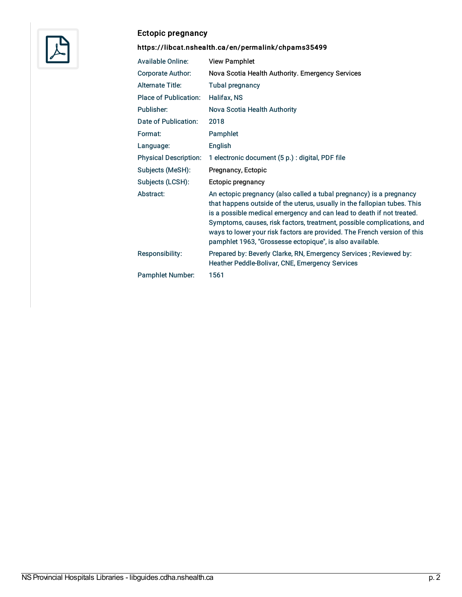

# Ectopic pregnancy

# <https://libcat.nshealth.ca/en/permalink/chpams35499>

| <b>Available Online:</b>     | <b>View Pamphlet</b>                                                                                                                                                                                                                                                                                                                                                                                                                       |
|------------------------------|--------------------------------------------------------------------------------------------------------------------------------------------------------------------------------------------------------------------------------------------------------------------------------------------------------------------------------------------------------------------------------------------------------------------------------------------|
| Corporate Author:            | Nova Scotia Health Authority. Emergency Services                                                                                                                                                                                                                                                                                                                                                                                           |
| <b>Alternate Title:</b>      | <b>Tubal pregnancy</b>                                                                                                                                                                                                                                                                                                                                                                                                                     |
| <b>Place of Publication:</b> | Halifax, NS                                                                                                                                                                                                                                                                                                                                                                                                                                |
| Publisher:                   | Nova Scotia Health Authority                                                                                                                                                                                                                                                                                                                                                                                                               |
| Date of Publication:         | 2018                                                                                                                                                                                                                                                                                                                                                                                                                                       |
| Format:                      | Pamphlet                                                                                                                                                                                                                                                                                                                                                                                                                                   |
| Language:                    | English                                                                                                                                                                                                                                                                                                                                                                                                                                    |
| <b>Physical Description:</b> | 1 electronic document (5 p.) : digital, PDF file                                                                                                                                                                                                                                                                                                                                                                                           |
| Subjects (MeSH):             | Pregnancy, Ectopic                                                                                                                                                                                                                                                                                                                                                                                                                         |
| Subjects (LCSH):             | Ectopic pregnancy                                                                                                                                                                                                                                                                                                                                                                                                                          |
| Abstract:                    | An ectopic pregnancy (also called a tubal pregnancy) is a pregnancy<br>that happens outside of the uterus, usually in the fallopian tubes. This<br>is a possible medical emergency and can lead to death if not treated.<br>Symptoms, causes, risk factors, treatment, possible complications, and<br>ways to lower your risk factors are provided. The French version of this<br>pamphlet 1963, "Grossesse ectopique", is also available. |
| <b>Responsibility:</b>       | Prepared by: Beverly Clarke, RN, Emergency Services; Reviewed by:<br>Heather Peddle-Bolivar, CNE, Emergency Services                                                                                                                                                                                                                                                                                                                       |
| <b>Pamphlet Number:</b>      | 1561                                                                                                                                                                                                                                                                                                                                                                                                                                       |